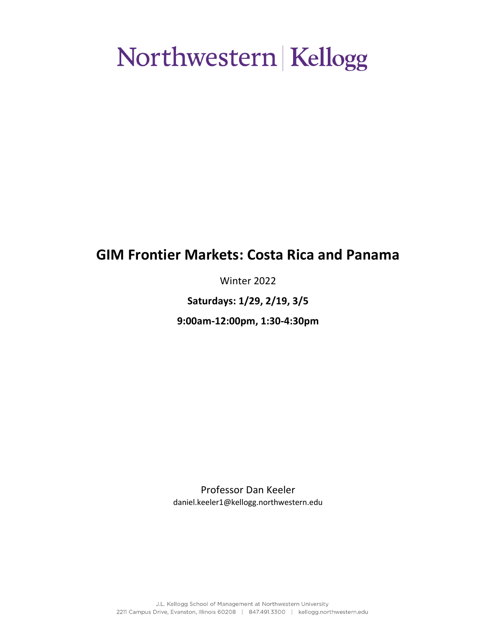## **GIM Frontier Markets: Costa Rica and Panama**

Winter 2022

**Saturdays: 1/29, 2/19, 3/5**

**9:00am-12:00pm, 1:30-4:30pm**

Professor Dan Keeler daniel.keeler1@kellogg.northwestern.edu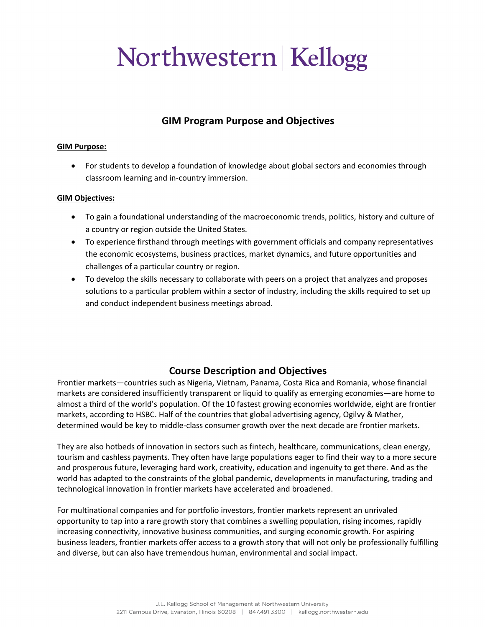### **GIM Program Purpose and Objectives**

#### **GIM Purpose:**

• For students to develop a foundation of knowledge about global sectors and economies through classroom learning and in-country immersion.

#### **GIM Objectives:**

- To gain a foundational understanding of the macroeconomic trends, politics, history and culture of a country or region outside the United States.
- To experience firsthand through meetings with government officials and company representatives the economic ecosystems, business practices, market dynamics, and future opportunities and challenges of a particular country or region.
- To develop the skills necessary to collaborate with peers on a project that analyzes and proposes solutions to a particular problem within a sector of industry, including the skills required to set up and conduct independent business meetings abroad.

### **Course Description and Objectives**

Frontier markets—countries such as Nigeria, Vietnam, Panama, Costa Rica and Romania, whose financial markets are considered insufficiently transparent or liquid to qualify as emerging economies—are home to almost a third of the world's population. Of the 10 fastest growing economies worldwide, eight are frontier markets, according to HSBC. Half of the countries that global advertising agency, Ogilvy & Mather, determined would be key to middle-class consumer growth over the next decade are frontier markets.

They are also hotbeds of innovation in sectors such as fintech, healthcare, communications, clean energy, tourism and cashless payments. They often have large populations eager to find their way to a more secure and prosperous future, leveraging hard work, creativity, education and ingenuity to get there. And as the world has adapted to the constraints of the global pandemic, developments in manufacturing, trading and technological innovation in frontier markets have accelerated and broadened.

For multinational companies and for portfolio investors, frontier markets represent an unrivaled opportunity to tap into a rare growth story that combines a swelling population, rising incomes, rapidly increasing connectivity, innovative business communities, and surging economic growth. For aspiring business leaders, frontier markets offer access to a growth story that will not only be professionally fulfilling and diverse, but can also have tremendous human, environmental and social impact.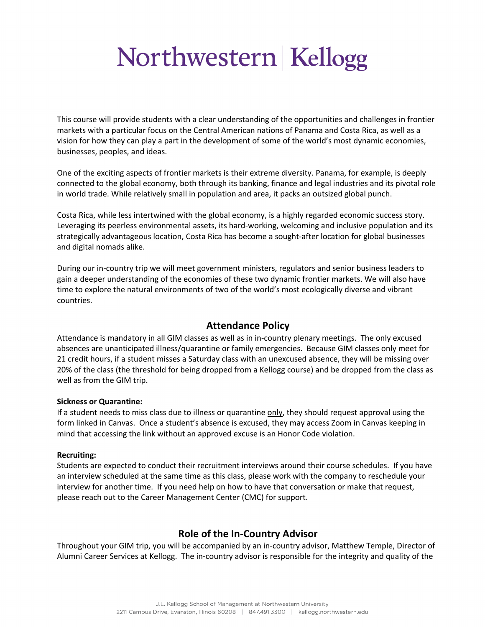This course will provide students with a clear understanding of the opportunities and challenges in frontier markets with a particular focus on the Central American nations of Panama and Costa Rica, as well as a vision for how they can play a part in the development of some of the world's most dynamic economies, businesses, peoples, and ideas.

One of the exciting aspects of frontier markets is their extreme diversity. Panama, for example, is deeply connected to the global economy, both through its banking, finance and legal industries and its pivotal role in world trade. While relatively small in population and area, it packs an outsized global punch.

Costa Rica, while less intertwined with the global economy, is a highly regarded economic success story. Leveraging its peerless environmental assets, its hard-working, welcoming and inclusive population and its strategically advantageous location, Costa Rica has become a sought-after location for global businesses and digital nomads alike.

During our in-country trip we will meet government ministers, regulators and senior business leaders to gain a deeper understanding of the economies of these two dynamic frontier markets. We will also have time to explore the natural environments of two of the world's most ecologically diverse and vibrant countries.

### **Attendance Policy**

Attendance is mandatory in all GIM classes as well as in in-country plenary meetings. The only excused absences are unanticipated illness/quarantine or family emergencies. Because GIM classes only meet for 21 credit hours, if a student misses a Saturday class with an unexcused absence, they will be missing over 20% of the class (the threshold for being dropped from a Kellogg course) and be dropped from the class as well as from the GIM trip.

#### **Sickness or Quarantine:**

If a student needs to miss class due to illness or quarantine only, they should request approval using the form linked in Canvas. Once a student's absence is excused, they may access Zoom in Canvas keeping in mind that accessing the link without an approved excuse is an Honor Code violation.

#### **Recruiting:**

Students are expected to conduct their recruitment interviews around their course schedules. If you have an interview scheduled at the same time as this class, please work with the company to reschedule your interview for another time. If you need help on how to have that conversation or make that request, please reach out to the Career Management Center (CMC) for support.

### **Role of the In-Country Advisor**

Throughout your GIM trip, you will be accompanied by an in-country advisor, Matthew Temple, Director of Alumni Career Services at Kellogg. The in-country advisor is responsible for the integrity and quality of the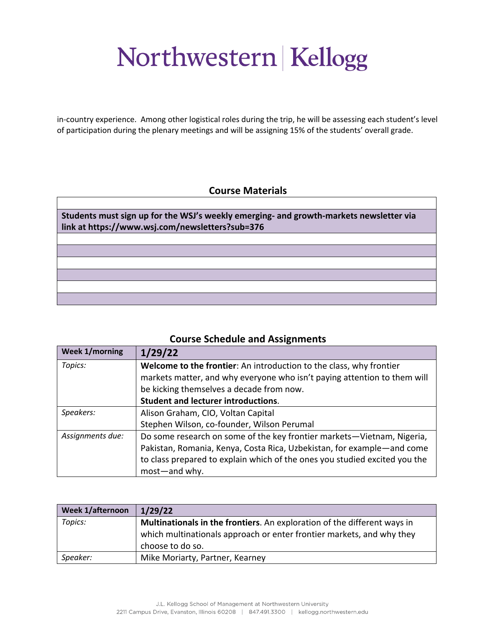in-country experience. Among other logistical roles during the trip, he will be assessing each student's level of participation during the plenary meetings and will be assigning 15% of the students' overall grade.

### **Course Materials**

| Students must sign up for the WSJ's weekly emerging- and growth-markets newsletter via<br>link at https://www.wsj.com/newsletters?sub=376 |  |
|-------------------------------------------------------------------------------------------------------------------------------------------|--|
|                                                                                                                                           |  |
|                                                                                                                                           |  |
|                                                                                                                                           |  |
|                                                                                                                                           |  |
|                                                                                                                                           |  |
|                                                                                                                                           |  |

### **Course Schedule and Assignments**

| <b>Week 1/morning</b> | 1/29/22                                                                    |
|-----------------------|----------------------------------------------------------------------------|
| Topics:               | <b>Welcome to the frontier:</b> An introduction to the class, why frontier |
|                       | markets matter, and why everyone who isn't paying attention to them will   |
|                       | be kicking themselves a decade from now.                                   |
|                       | <b>Student and lecturer introductions.</b>                                 |
| Speakers:             | Alison Graham, CIO, Voltan Capital                                         |
|                       | Stephen Wilson, co-founder, Wilson Perumal                                 |
| Assignments due:      | Do some research on some of the key frontier markets-Vietnam, Nigeria,     |
|                       | Pakistan, Romania, Kenya, Costa Rica, Uzbekistan, for example-and come     |
|                       | to class prepared to explain which of the ones you studied excited you the |
|                       | most-and why.                                                              |

| <b>Week 1/afternoon</b>                                                             | 1/29/22                                                               |
|-------------------------------------------------------------------------------------|-----------------------------------------------------------------------|
| Topics:<br>Multinationals in the frontiers. An exploration of the different ways in |                                                                       |
|                                                                                     | which multinationals approach or enter frontier markets, and why they |
|                                                                                     | choose to do so.                                                      |
| Speaker:                                                                            | Mike Moriarty, Partner, Kearney                                       |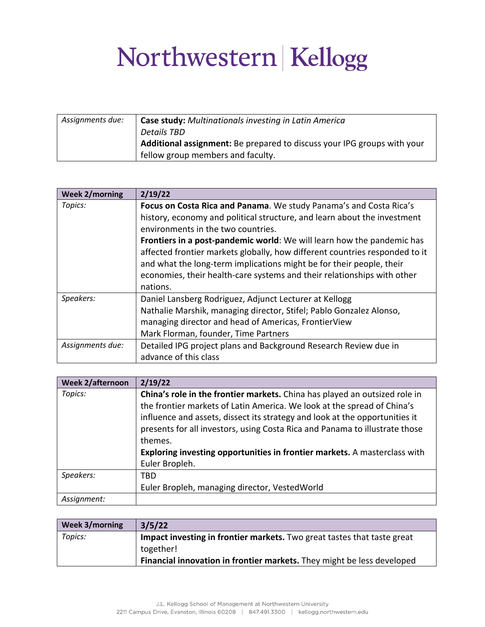| Assignments due: | <b>Case study:</b> Multinationals investing in Latin America            |
|------------------|-------------------------------------------------------------------------|
|                  | <b>Details TBD</b>                                                      |
|                  | Additional assignment: Be prepared to discuss your IPG groups with your |
|                  | fellow group members and faculty.                                       |

| <b>Week 2/morning</b> | 2/19/22                                                                     |
|-----------------------|-----------------------------------------------------------------------------|
| Topics:               | Focus on Costa Rica and Panama. We study Panama's and Costa Rica's          |
|                       | history, economy and political structure, and learn about the investment    |
|                       | environments in the two countries.                                          |
|                       | Frontiers in a post-pandemic world: We will learn how the pandemic has      |
|                       | affected frontier markets globally, how different countries responded to it |
|                       | and what the long-term implications might be for their people, their        |
|                       | economies, their health-care systems and their relationships with other     |
|                       | nations.                                                                    |
| Speakers:             | Daniel Lansberg Rodriguez, Adjunct Lecturer at Kellogg                      |
|                       | Nathalie Marshik, managing director, Stifel; Pablo Gonzalez Alonso,         |
|                       | managing director and head of Americas, FrontierView                        |
|                       | Mark Florman, founder, Time Partners                                        |
| Assignments due:      | Detailed IPG project plans and Background Research Review due in            |
|                       | advance of this class                                                       |

| <b>Week 2/afternoon</b> | 2/19/22                                                                     |
|-------------------------|-----------------------------------------------------------------------------|
| Topics:                 | China's role in the frontier markets. China has played an outsized role in  |
|                         | the frontier markets of Latin America. We look at the spread of China's     |
|                         | influence and assets, dissect its strategy and look at the opportunities it |
|                         | presents for all investors, using Costa Rica and Panama to illustrate those |
|                         | themes.                                                                     |
|                         | Exploring investing opportunities in frontier markets. A masterclass with   |
|                         | Euler Bropleh.                                                              |
| Speakers:               | TBD                                                                         |
|                         | Euler Bropleh, managing director, VestedWorld                               |
| Assignment:             |                                                                             |

| Week 3/morning | 3/5/22                                                                  |
|----------------|-------------------------------------------------------------------------|
| Topics:        | Impact investing in frontier markets. Two great tastes that taste great |
|                | together!                                                               |
|                | Financial innovation in frontier markets. They might be less developed  |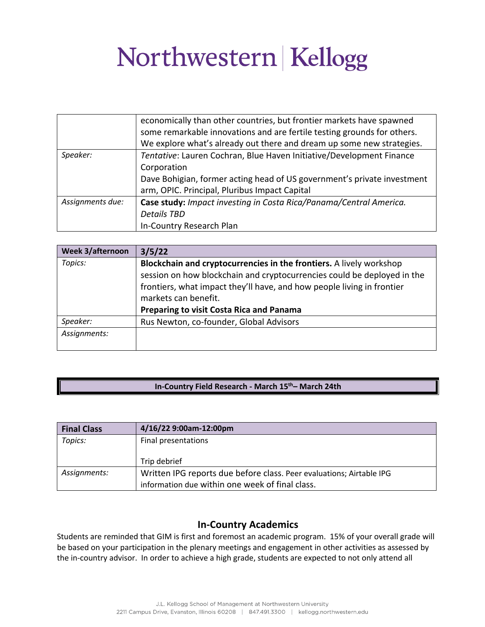|                  | economically than other countries, but frontier markets have spawned    |
|------------------|-------------------------------------------------------------------------|
|                  | some remarkable innovations and are fertile testing grounds for others. |
|                  | We explore what's already out there and dream up some new strategies.   |
| Speaker:         | Tentative: Lauren Cochran, Blue Haven Initiative/Development Finance    |
|                  | Corporation                                                             |
|                  | Dave Bohigian, former acting head of US government's private investment |
|                  | arm, OPIC. Principal, Pluribus Impact Capital                           |
| Assignments due: | Case study: Impact investing in Costa Rica/Panama/Central America.      |
|                  | <b>Details TBD</b>                                                      |
|                  | In-Country Research Plan                                                |

| Week 3/afternoon | 3/5/22                                                                  |
|------------------|-------------------------------------------------------------------------|
| Topics:          | Blockchain and cryptocurrencies in the frontiers. A lively workshop     |
|                  | session on how blockchain and cryptocurrencies could be deployed in the |
|                  | frontiers, what impact they'll have, and how people living in frontier  |
|                  | markets can benefit.                                                    |
|                  | <b>Preparing to visit Costa Rica and Panama</b>                         |
| Speaker:         | Rus Newton, co-founder, Global Advisors                                 |
| Assignments:     |                                                                         |
|                  |                                                                         |

#### **In-Country Field Research - March 15th– March 24th**

| <b>Final Class</b> | 4/16/22 9:00am-12:00pm                                               |
|--------------------|----------------------------------------------------------------------|
| Topics:            | Final presentations                                                  |
|                    |                                                                      |
|                    | Trip debrief                                                         |
| Assignments:       | Written IPG reports due before class. Peer evaluations; Airtable IPG |
|                    | information due within one week of final class.                      |

### **In-Country Academics**

Students are reminded that GIM is first and foremost an academic program. 15% of your overall grade will be based on your participation in the plenary meetings and engagement in other activities as assessed by the in-country advisor. In order to achieve a high grade, students are expected to not only attend all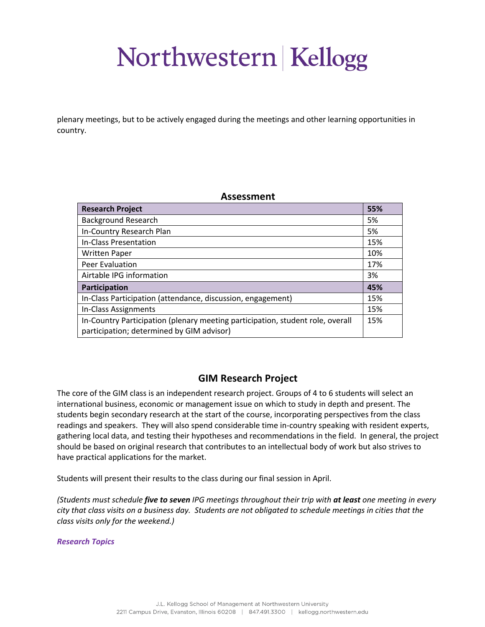plenary meetings, but to be actively engaged during the meetings and other learning opportunities in country.

#### **Assessment**

| <b>Research Project</b>                                                                                                     | 55% |
|-----------------------------------------------------------------------------------------------------------------------------|-----|
| <b>Background Research</b>                                                                                                  | 5%  |
| In-Country Research Plan                                                                                                    | 5%  |
| In-Class Presentation                                                                                                       | 15% |
| <b>Written Paper</b>                                                                                                        | 10% |
| Peer Evaluation                                                                                                             | 17% |
| Airtable IPG information                                                                                                    | 3%  |
| Participation                                                                                                               | 45% |
| In-Class Participation (attendance, discussion, engagement)                                                                 | 15% |
| In-Class Assignments                                                                                                        | 15% |
| In-Country Participation (plenary meeting participation, student role, overall<br>participation; determined by GIM advisor) | 15% |

### **GIM Research Project**

The core of the GIM class is an independent research project. Groups of 4 to 6 students will select an international business, economic or management issue on which to study in depth and present. The students begin secondary research at the start of the course, incorporating perspectives from the class readings and speakers. They will also spend considerable time in-country speaking with resident experts, gathering local data, and testing their hypotheses and recommendations in the field. In general, the project should be based on original research that contributes to an intellectual body of work but also strives to have practical applications for the market.

Students will present their results to the class during our final session in April.

*(Students must schedule five to seven IPG meetings throughout their trip with at least one meeting in every city that class visits on a business day. Students are not obligated to schedule meetings in cities that the class visits only for the weekend.)* 

*Research Topics*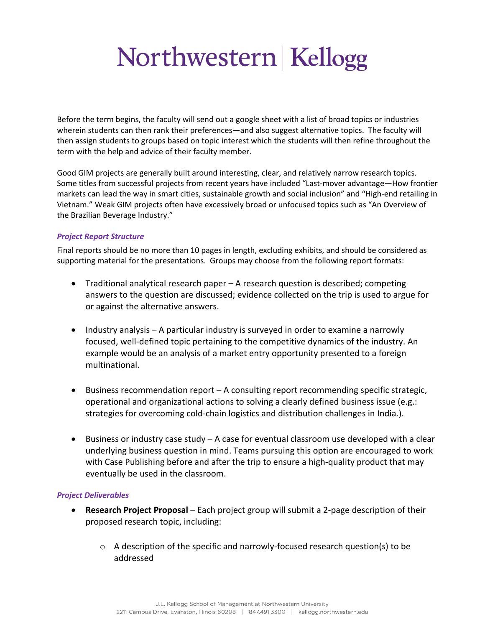Before the term begins, the faculty will send out a google sheet with a list of broad topics or industries wherein students can then rank their preferences—and also suggest alternative topics. The faculty will then assign students to groups based on topic interest which the students will then refine throughout the term with the help and advice of their faculty member.

Good GIM projects are generally built around interesting, clear, and relatively narrow research topics. Some titles from successful projects from recent years have included "Last-mover advantage—How frontier markets can lead the way in smart cities, sustainable growth and social inclusion" and "High-end retailing in Vietnam." Weak GIM projects often have excessively broad or unfocused topics such as "An Overview of the Brazilian Beverage Industry."

#### *Project Report Structure*

Final reports should be no more than 10 pages in length, excluding exhibits, and should be considered as supporting material for the presentations. Groups may choose from the following report formats:

- Traditional analytical research paper A research question is described; competing answers to the question are discussed; evidence collected on the trip is used to argue for or against the alternative answers.
- Industry analysis A particular industry is surveyed in order to examine a narrowly focused, well-defined topic pertaining to the competitive dynamics of the industry. An example would be an analysis of a market entry opportunity presented to a foreign multinational.
- Business recommendation report A consulting report recommending specific strategic, operational and organizational actions to solving a clearly defined business issue (e.g.: strategies for overcoming cold-chain logistics and distribution challenges in India.).
- Business or industry case study A case for eventual classroom use developed with a clear underlying business question in mind. Teams pursuing this option are encouraged to work with Case Publishing before and after the trip to ensure a high-quality product that may eventually be used in the classroom.

#### *Project Deliverables*

- **Research Project Proposal** Each project group will submit a 2-page description of their proposed research topic, including:
	- o A description of the specific and narrowly-focused research question(s) to be addressed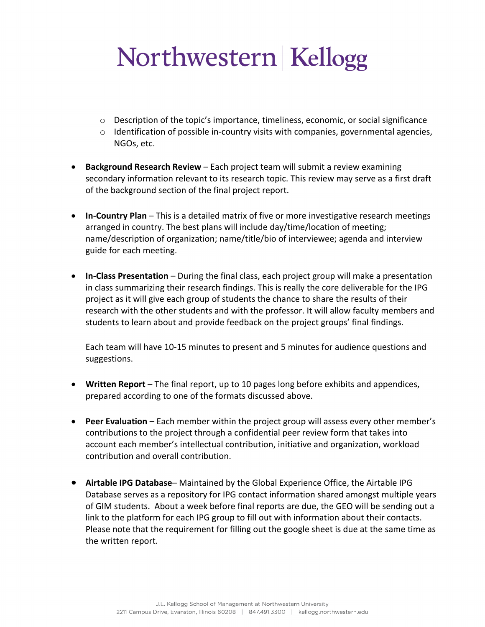- $\circ$  Description of the topic's importance, timeliness, economic, or social significance
- $\circ$  Identification of possible in-country visits with companies, governmental agencies, NGOs, etc.
- **Background Research Review**  Each project team will submit a review examining secondary information relevant to its research topic. This review may serve as a first draft of the background section of the final project report.
- **In-Country Plan**  This is a detailed matrix of five or more investigative research meetings arranged in country. The best plans will include day/time/location of meeting; name/description of organization; name/title/bio of interviewee; agenda and interview guide for each meeting.
- **In-Class Presentation**  During the final class, each project group will make a presentation in class summarizing their research findings. This is really the core deliverable for the IPG project as it will give each group of students the chance to share the results of their research with the other students and with the professor. It will allow faculty members and students to learn about and provide feedback on the project groups' final findings.

Each team will have 10-15 minutes to present and 5 minutes for audience questions and suggestions.

- **Written Report**  The final report, up to 10 pages long before exhibits and appendices, prepared according to one of the formats discussed above.
- **Peer Evaluation** Each member within the project group will assess every other member's contributions to the project through a confidential peer review form that takes into account each member's intellectual contribution, initiative and organization, workload contribution and overall contribution.
- **Airtable IPG Database** Maintained by the Global Experience Office, the Airtable IPG Database serves as a repository for IPG contact information shared amongst multiple years of GIM students. About a week before final reports are due, the GEO will be sending out a link to the platform for each IPG group to fill out with information about their contacts. Please note that the requirement for filling out the google sheet is due at the same time as the written report.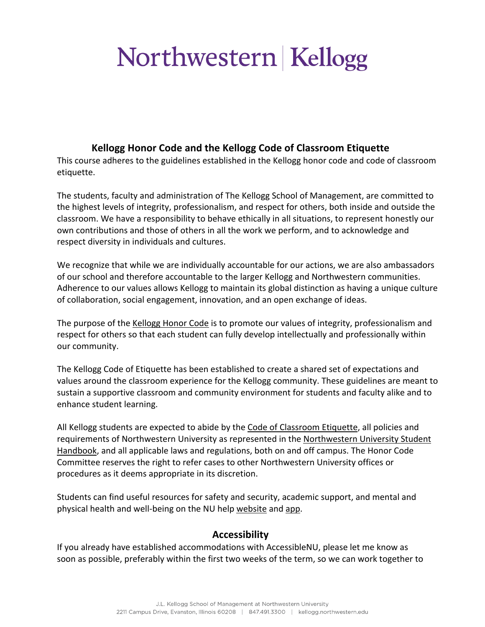### **Kellogg Honor Code and the Kellogg Code of Classroom Etiquette**

This course adheres to the guidelines established in the Kellogg honor code and code of classroom etiquette.

The students, faculty and administration of The Kellogg School of Management, are committed to the highest levels of integrity, professionalism, and respect for others, both inside and outside the classroom. We have a responsibility to behave ethically in all situations, to represent honestly our own contributions and those of others in all the work we perform, and to acknowledge and respect diversity in individuals and cultures.

We recognize that while we are individually accountable for our actions, we are also ambassadors of our school and therefore accountable to the larger Kellogg and Northwestern communities. Adherence to our values allows Kellogg to maintain its global distinction as having a unique culture of collaboration, social engagement, innovation, and an open exchange of ideas.

The purpose of the Kellogg Honor Code is to promote our values of integrity, professionalism and respect for others so that each student can fully develop intellectually and professionally within our community.

The Kellogg Code of Etiquette has been established to create a shared set of expectations and values around the classroom experience for the Kellogg community. These guidelines are meant to sustain a supportive classroom and community environment for students and faculty alike and to enhance student learning.

All Kellogg students are expected to abide by the Code of Classroom Etiquette, all policies and requirements of Northwestern University as represented in the Northwestern University Student Handbook, and all applicable laws and regulations, both on and off campus. The Honor Code Committee reserves the right to refer cases to other Northwestern University offices or procedures as it deems appropriate in its discretion.

Students can find useful resources for safety and security, academic support, and mental and physical health and well-being on the NU help website and app.

### **Accessibility**

If you already have established accommodations with AccessibleNU, please let me know as soon as possible, preferably within the first two weeks of the term, so we can work together to